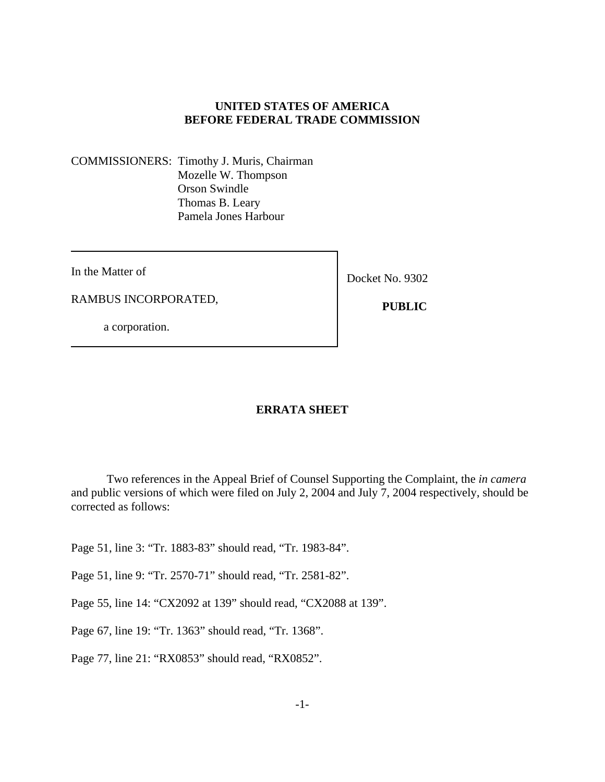## **UNITED STATES OF AMERICA BEFORE FEDERAL TRADE COMMISSION**

COMMISSIONERS: Timothy J. Muris, Chairman Mozelle W. Thompson Orson Swindle Thomas B. Leary Pamela Jones Harbour

In the Matter of

RAMBUS INCORPORATED,

a corporation.

Docket No. 9302

 **PUBLIC** 

## **ERRATA SHEET**

Two references in the Appeal Brief of Counsel Supporting the Complaint, the *in camera* and public versions of which were filed on July 2, 2004 and July 7, 2004 respectively, should be corrected as follows:

Page 51, line 3: "Tr. 1883-83" should read, "Tr. 1983-84".

Page 51, line 9: "Tr. 2570-71" should read, "Tr. 2581-82".

Page 55, line 14: "CX2092 at 139" should read, "CX2088 at 139".

Page 67, line 19: "Tr. 1363" should read, "Tr. 1368".

Page 77, line 21: "RX0853" should read, "RX0852".